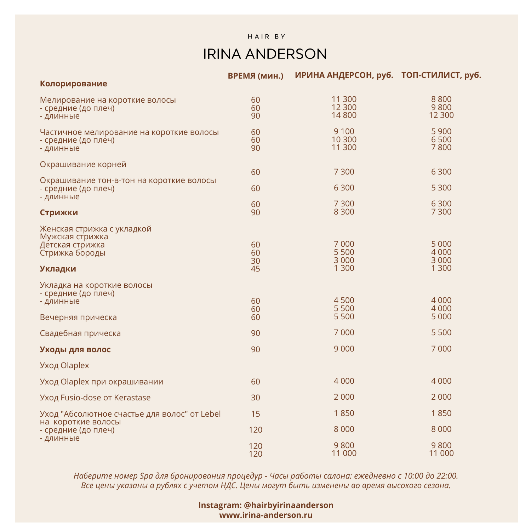## **IRINA ANDERSON**

|                                                                                                        | ВРЕМЯ (мин.)   | ИРИНА АНДЕРСОН, руб. ТОП-СТИЛИСТ, руб. |                               |
|--------------------------------------------------------------------------------------------------------|----------------|----------------------------------------|-------------------------------|
| Колорирование                                                                                          |                |                                        |                               |
| Мелирование на короткие волосы<br>- средние (до плеч)<br>- длинные                                     | 60<br>60<br>90 | 11 300<br>12 300<br>14 800             | 8800<br>9800<br>12 300        |
| Частичное мелирование на короткие волосы<br>- средние (до плеч)<br>- длинные                           | 60<br>60<br>90 | 9 1 0 0<br>10 300<br>11 300            | 5 9 0 0<br>6 500<br>7800      |
| Окрашивание корней                                                                                     | 60             | 7 3 0 0                                | 6 3 0 0                       |
| Окрашивание тон-в-тон на короткие волосы<br>- средние (до плеч)<br>- длинные                           | 60             | 6 3 0 0                                | 5 3 0 0                       |
| Стрижки                                                                                                | 60<br>90       | 7 3 0 0<br>8 3 0 0                     | 6 3 0 0<br>7 300              |
| Женская стрижка с укладкой<br>Мужская стрижка<br>Детская стрижка<br>Стрижка бороды                     | 60<br>60       | 7 0 0 0<br>5 5 0 0<br>3 0 0 0          | 5 0 0 0<br>4 0 0 0<br>3 0 0 0 |
| <b>Укладки</b>                                                                                         | 30<br>45       | 1 300                                  | 1 300                         |
| Укладка на короткие волосы<br>- средние (до плеч)<br>- длинные                                         | 60<br>60       | 4 500<br>5 5 0 0                       | 4 0 0 0<br>4 0 0 0            |
| Вечерняя прическа                                                                                      | 60             | 5 5 0 0                                | 5 0 0 0                       |
| Свадебная прическа                                                                                     | 90             | 7 0 0 0                                | 5 5 0 0                       |
| Уходы для волос                                                                                        | 90             | 9 0 0 0                                | 7 0 0 0                       |
| Уход Olaplex                                                                                           |                |                                        |                               |
| Уход Olaplex при окрашивании                                                                           | 60             | 4 0 0 0                                | 4 0 0 0                       |
| Уход Fusio-dose от Kerastase                                                                           | 30             | 2 0 0 0                                | 2 0 0 0                       |
| Уход "Абсолютное счастье для волос" от Lebel<br>на короткие волосы<br>- средние (до плеч)<br>- длинные | 15             | 1850                                   | 1850                          |
|                                                                                                        | 120            | 8 0 0 0                                | 8 0 0 0                       |
|                                                                                                        | 120<br>120     | 9800<br>11 000                         | 9800<br>11 000                |

Наберите номер Ѕра для бронирования процедур - Часы работы салона: ежедневно с 10:00 до 22:00. <sup>В</sup> Все цены указаны в рублях с учетом НДС. Цены могут быть изменены во время высокого сезона.

> **Instagram: @hairbyirinaanderson www.irina-anderson.ru**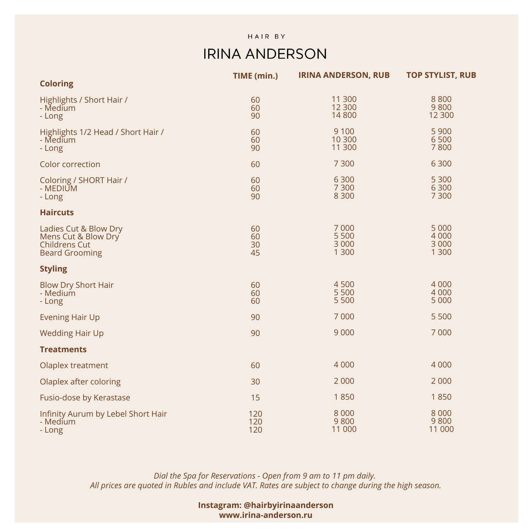## **IRINA ANDERSON**

|                                                                                               | TIME (min.)          | <b>IRINA ANDERSON, RUB</b>           | <b>TOP STYLIST, RUB</b>                |
|-----------------------------------------------------------------------------------------------|----------------------|--------------------------------------|----------------------------------------|
| <b>Coloring</b>                                                                               |                      |                                      |                                        |
| Highlights / Short Hair /<br>- Medium<br>- Long                                               | 60<br>60<br>90       | 11 300<br>12 300<br>14 800           | 8800<br>9800<br>12 300                 |
| Highlights 1/2 Head / Short Hair /<br>- Medium<br>- Long                                      | 60<br>60<br>90       | 9 1 0 0<br>10 300<br>11 300          | 5 9 0 0<br>6 500<br>7800               |
| Color correction                                                                              | 60                   | 7 300                                | 6 3 0 0                                |
| Coloring / SHORT Hair /<br>- MEDIUM<br>- Long                                                 | 60<br>60<br>90       | 6 3 0 0<br>7 300<br>8 3 0 0          | 5 3 0 0<br>6 3 0 0<br>7 3 0 0          |
| <b>Haircuts</b>                                                                               |                      |                                      |                                        |
| Ladies Cut & Blow Dry<br>Mens Cut & Blow Dry<br><b>Childrens Cut</b><br><b>Beard Grooming</b> | 60<br>60<br>30<br>45 | 7 0 0 0<br>5 500<br>3 0 0 0<br>1 300 | 5 0 0 0<br>4 0 0 0<br>3 0 0 0<br>1 300 |
| <b>Styling</b>                                                                                |                      |                                      |                                        |
| <b>Blow Dry Short Hair</b><br>- Medium<br>- Long                                              | 60<br>60<br>60       | 4 500<br>5 500<br>5 500              | 4 0 0 0<br>4 0 0 0<br>5 0 0 0          |
| <b>Evening Hair Up</b>                                                                        | 90                   | 7 0 0 0                              | 5 5 0 0                                |
| <b>Wedding Hair Up</b>                                                                        | 90                   | 9 0 0 0                              | 7 0 0 0                                |
| <b>Treatments</b>                                                                             |                      |                                      |                                        |
| Olaplex treatment                                                                             | 60                   | 4 0 0 0                              | 4 0 0 0                                |
| Olaplex after coloring                                                                        | 30                   | 2 0 0 0                              | 2 0 0 0                                |
| Fusio-dose by Kerastase                                                                       | 15                   | 1850                                 | 1850                                   |
| Infinity Aurum by Lebel Short Hair<br>- Medium<br>- Long                                      | 120<br>120<br>120    | 8 0 0 0<br>9800<br>11 000            | 8 0 0 0<br>9800<br>11 000              |

*Dial the Spa for Reservations - Open from 9 am to 11 pm daily. All prices are quoted in Rubles and include VAT. Rates are subject to change during the high season.*

> **Instagram: @hairbyirinaanderson www.irina-anderson.ru**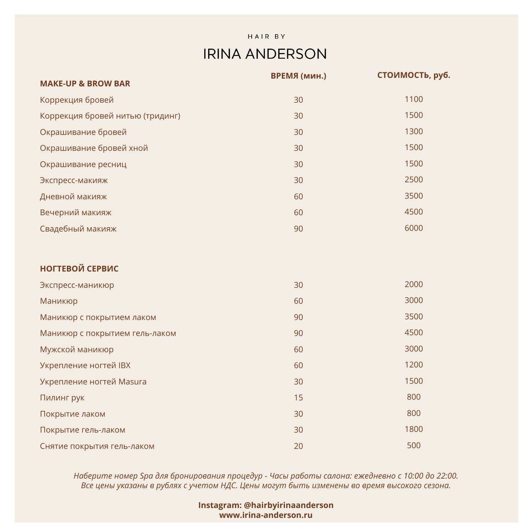# **IRINA ANDERSON**

|                                  | ВРЕМЯ (мин.) | стоимость, руб. |
|----------------------------------|--------------|-----------------|
| <b>MAKE-UP &amp; BROW BAR</b>    |              |                 |
| Коррекция бровей                 | 30           | 1100            |
| Коррекция бровей нитью (тридинг) | 30           | 1500            |
| Окрашивание бровей               | 30           | 1300            |
| Окрашивание бровей хной          | 30           | 1500            |
| Окрашивание ресниц               | 30           | 1500            |
| Экспресс-макияж                  | 30           | 2500            |
| Дневной макияж                   | 60           | 3500            |
| Вечерний макияж                  | 60           | 4500            |
| Свадебный макияж                 | 90           | 6000            |
|                                  |              |                 |
| <b>НОГТЕВОЙ СЕРВИС</b>           |              |                 |
| Экспресс-маникюр                 | 30           | 2000            |
| Маникюр                          | 60           | 3000            |
| Маникюр с покрытием лаком        | 90           | 3500            |
| Маникюр с покрытием гель-лаком   | 90           | 4500            |
| Мужской маникюр                  | 60           | 3000            |
| <b>Укрепление ногтей IBX</b>     | 60           | 1200            |
| Укрепление ногтей Masura         | 30           | 1500            |
| Пилинг рук                       | 15           | 800             |
| Покрытие лаком                   | 30           | 800             |
| Покрытие гель-лаком              | 30           | 1800            |
| Снятие покрытия гель-лаком       | 20           | 500             |

Наберите номер Ѕра для бронирования процедур - Часы работы салона: ежедневно с 10:00 до 22:00. <sup>В</sup> Все цены указаны в рублях с учетом НДС. Цены могут быть изменены во время высокого сезона.

> **Instagram: @hairbyirinaanderson www.irina-anderson.ru**